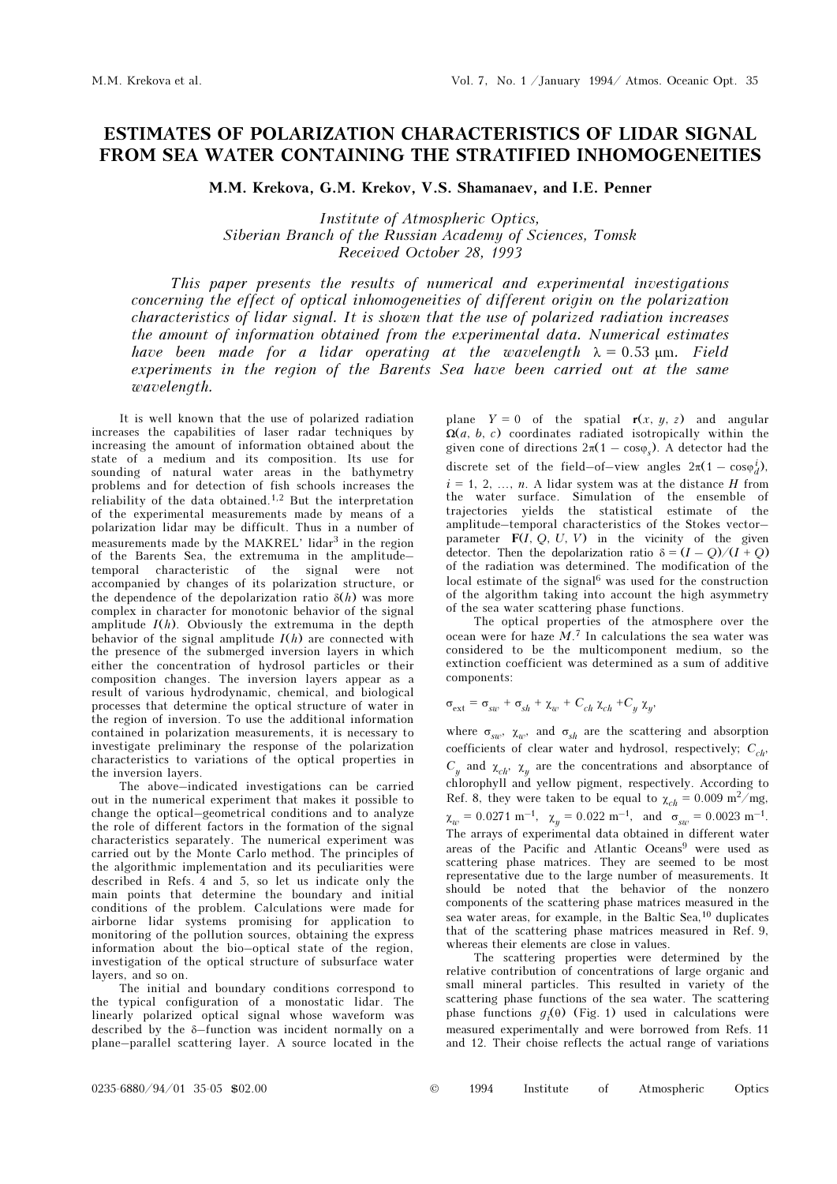## ESTIMATES OF POLARIZATION CHARACTERISTICS OF LIDAR SIGNAL FROM SEA WATER CONTAINING THE STRATIFIED INHOMOGENEITIES

M.M. Krekova, G.M. Krekov, V.S. Shamanaev, and I.E. Penner

Institute of Atmospheric Optics, Siberian Branch of the Russian Academy of Sciences, Tomsk Received October 28, 1993

This paper presents the results of numerical and experimental investigations concerning the effect of optical inhomogeneities of different origin on the polarization characteristics of lidar signal. It is shown that the use of polarized radiation increases the amount of information obtained from the experimental data. Numerical estimates have been made for a lidar operating at the wavelength  $\lambda = 0.53$  μm. Field experiments in the region of the Barents Sea have been carried out at the same wavelength.

It is well known that the use of polarized radiation increases the capabilities of laser radar techniques by increasing the amount of information obtained about the state of a medium and its composition. Its use for sounding of natural water areas in the bathymetry problems and for detection of fish schools increases the reliability of the data obtained.1,2 But the interpretation of the experimental measurements made by means of a polarization lidar may be difficult. Thus in a number of measurements made by the MAKREL' lidar<sup>3</sup> in the region of the Barents Sea, the extremuma in the amplitude– temporal characteristic of the signal were not accompanied by changes of its polarization structure, or the dependence of the depolarization ratio  $\delta(h)$  was more complex in character for monotonic behavior of the signal amplitude  $I(h)$ . Obviously the extremuma in the depth behavior of the signal amplitude  $I(h)$  are connected with the presence of the submerged inversion layers in which either the concentration of hydrosol particles or their composition changes. The inversion layers appear as a result of various hydrodynamic, chemical, and biological processes that determine the optical structure of water in the region of inversion. To use the additional information contained in polarization measurements, it is necessary to investigate preliminary the response of the polarization characteristics to variations of the optical properties in the inversion layers.

The above–indicated investigations can be carried out in the numerical experiment that makes it possible to change the optical–geometrical conditions and to analyze the role of different factors in the formation of the signal characteristics separately. The numerical experiment was carried out by the Monte Carlo method. The principles of the algorithmic implementation and its peculiarities were described in Refs. 4 and 5, so let us indicate only the main points that determine the boundary and initial conditions of the problem. Calculations were made for airborne lidar systems promising for application to monitoring of the pollution sources, obtaining the express information about the bio–optical state of the region, investigation of the optical structure of subsurface water layers, and so on.

The initial and boundary conditions correspond to the typical configuration of a monostatic lidar. The linearly polarized optical signal whose waveform was described by the δ–function was incident normally on a plane–parallel scattering layer. A source located in the plane  $Y = 0$  of the spatial  $r(x, y, z)$  and angular  $\Omega(a, b, c)$  coordinates radiated isotropically within the given cone of directions  $2\pi(1 - \cos\varphi_s)$ . A detector had the discrete set of the field–of–view angles  $2\pi(1 - \cos\varphi_d^i)$ ,  $i = 1, 2, ..., n$ . A lidar system was at the distance H from the water surface. Simulation of the ensemble of trajectories yields the statistical estimate of the amplitude–temporal characteristics of the Stokes vector– parameter  $F(I, Q, U, V)$  in the vicinity of the given detector. Then the depolarization ratio  $\delta = (I - O)/(I + O)$ of the radiation was determined. The modification of the local estimate of the signal $6$  was used for the construction of the algorithm taking into account the high asymmetry of the sea water scattering phase functions.

The optical properties of the atmosphere over the ocean were for haze  $M$ .<sup>7</sup> In calculations the sea water was considered to be the multicomponent medium, so the extinction coefficient was determined as a sum of additive components:

$$
\sigma_{ext} = \sigma_{sw} + \sigma_{sh} + \chi_w + C_{ch} \chi_{ch} + C_y \chi_y,
$$

where  $\sigma_{\rm sav}$ ,  $\chi_{\rm w}$ , and  $\sigma_{\rm shc}$  are the scattering and absorption coefficients of clear water and hydrosol, respectively;  $C_{ch}$ ,  $C_y$  and  $\chi_{ch}$ ,  $\chi_y$  are the concentrations and absorptance of chlorophyll and yellow pigment, respectively. According to Ref. 8, they were taken to be equal to  $\chi_{ch} = 0.009 \text{ m}^2/\text{mg}$ ,  $\chi_{w} = 0.0271 \text{ m}^{-1}$ ,  $\chi_{y} = 0.022 \text{ m}^{-1}$ , and  $\sigma_{sw} = 0.0023 \text{ m}^{-1}$ . The arrays of experimental data obtained in different water areas of the Pacific and Atlantic Oceans<sup>9</sup> were used as scattering phase matrices. They are seemed to be most representative due to the large number of measurements. It should be noted that the behavior of the nonzero components of the scattering phase matrices measured in the sea water areas, for example, in the Baltic Sea,<sup>10</sup> duplicates that of the scattering phase matrices measured in Ref. 9, whereas their elements are close in values.

The scattering properties were determined by the relative contribution of concentrations of large organic and small mineral particles. This resulted in variety of the scattering phase functions of the sea water. The scattering phase functions  $g_i(\theta)$  (Fig. 1) used in calculations were measured experimentally and were borrowed from Refs. 11 and 12. Their choise reflects the actual range of variations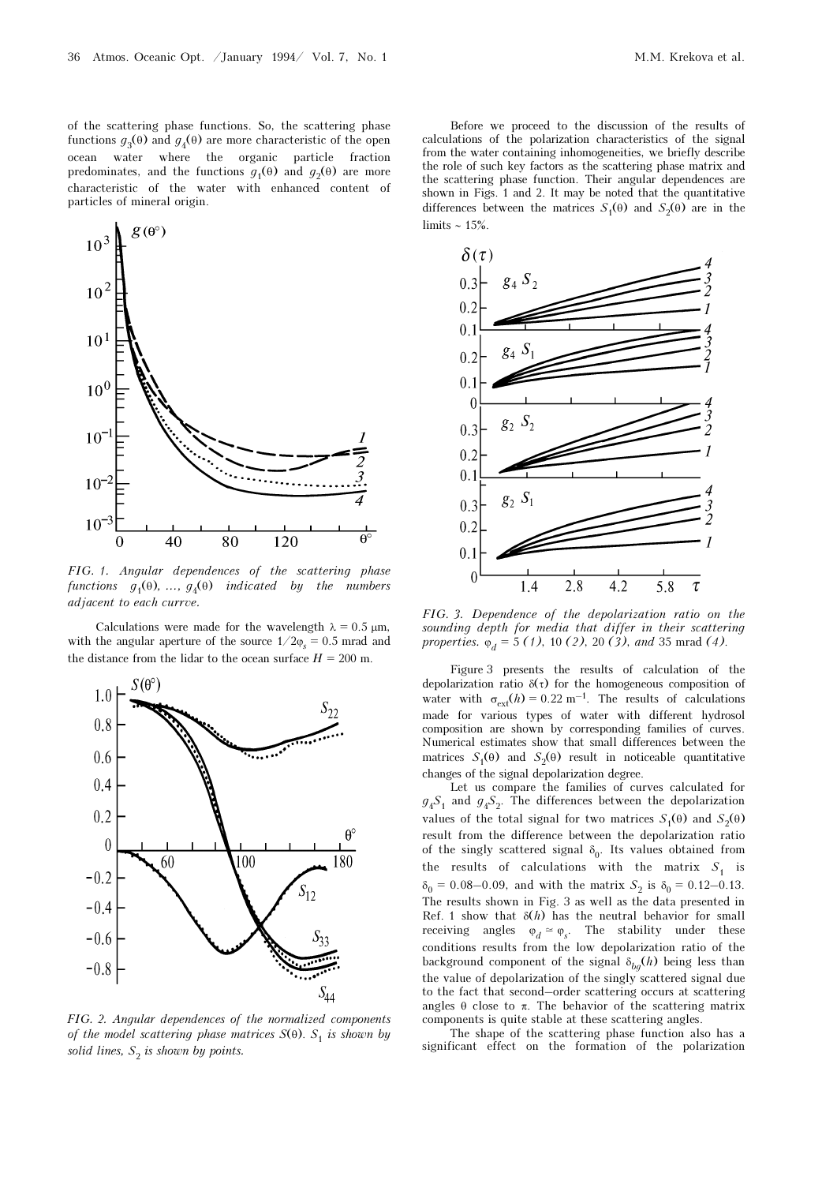of the scattering phase functions. So, the scattering phase functions  $g_3(\theta)$  and  $g_4(\theta)$  are more characteristic of the open ocean water where the organic particle fraction predominates, and the functions  $g_1(\theta)$  and  $g_2(\theta)$  are more characteristic of the water with enhanced content of particles of mineral origin.



FIG. 1. Angular dependences of the scattering phase functions  $g_1(\theta)$ , ...,  $g_4(\theta)$  indicated by the numbers adjacent to each currve.

Calculations were made for the wavelength  $\lambda = 0.5 \mu m$ , with the angular aperture of the source  $1/2\varphi_s = 0.5$  mrad and the distance from the lidar to the ocean surface  $H = 200$  m.



FIG. 2. Angular dependences of the normalized components of the model scattering phase matrices  $S(\theta)$ .  $S_1$  is shown by solid lines,  $S_2$  is shown by points.

Before we proceed to the discussion of the results of calculations of the polarization characteristics of the signal from the water containing inhomogeneities, we briefly describe the role of such key factors as the scattering phase matrix and the scattering phase function. Their angular dependences are shown in Figs. 1 and 2. It may be noted that the quantitative differences between the matrices  $S_1(\theta)$  and  $S_2(\theta)$  are in the limits ∼ 15%.



FIG. 3. Dependence of the depolarization ratio on the sounding depth for media that differ in their scattering properties.  $\varphi_d = 5$  (1), 10 (2), 20 (3), and 35 mrad (4).

Figure 3 presents the results of calculation of the depolarization ratio  $\delta(\tau)$  for the homogeneous composition of water with  $\sigma_{ext}(h) = 0.22 \text{ m}^{-1}$ . The results of calculations made for various types of water with different hydrosol composition are shown by corresponding families of curves. Numerical estimates show that small differences between the matrices  $S_1(\theta)$  and  $S_2(\theta)$  result in noticeable quantitative changes of the signal depolarization degree.

Let us compare the families of curves calculated for  $g_4S_1$  and  $g_4S_2$ . The differences between the depolarization values of the total signal for two matrices  $S_1(\theta)$  and  $S_2(\theta)$ result from the difference between the depolarization ratio of the singly scattered signal  $\delta_0$ . Its values obtained from the results of calculations with the matrix  $S_1$  is  $\delta_0 = 0.08 - 0.09$ , and with the matrix  $S_2$  is  $\delta_0 = 0.12 - 0.13$ . The results shown in Fig. 3 as well as the data presented in Ref. 1 show that  $\delta(h)$  has the neutral behavior for small receiving angles  $\varphi_d \simeq \varphi_s$ . The stability under these conditions results from the low depolarization ratio of the background component of the signal  $\delta_{bq}(h)$  being less than the value of depolarization of the singly scattered signal due to the fact that second–order scattering occurs at scattering angles  $\theta$  close to  $\pi$ . The behavior of the scattering matrix components is quite stable at these scattering angles.

The shape of the scattering phase function also has a significant effect on the formation of the polarization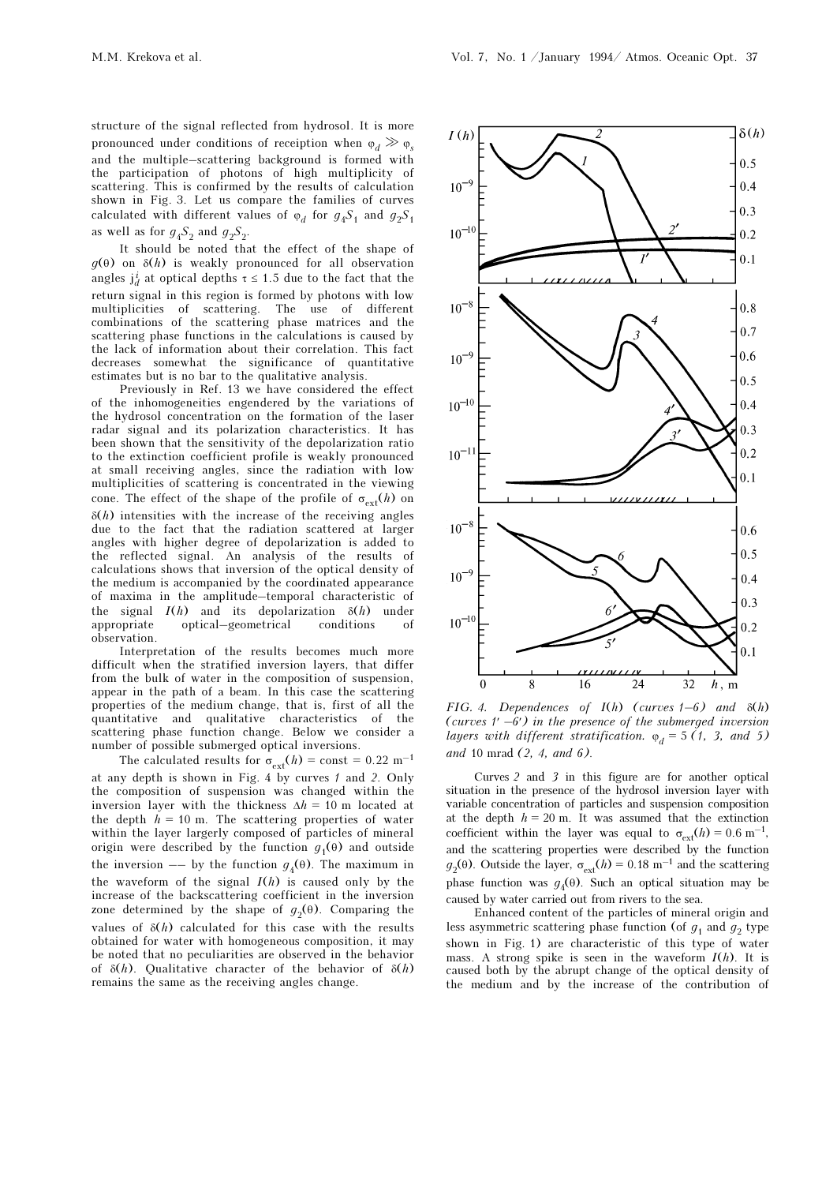structure of the signal reflected from hydrosol. It is more pronounced under conditions of receiption when  $\varphi_d \gg \varphi_s$ and the multiple–scattering background is formed with the participation of photons of high multiplicity of scattering. This is confirmed by the results of calculation shown in Fig. 3. Let us compare the families of curves calculated with different values of  $\varphi_d$  for  $g_4S_1$  and  $g_2S_1$ as well as for  $g_4S_2$  and  $g_2S_2$ .

It should be noted that the effect of the shape of  $g(\theta)$  on  $\delta(h)$  is weakly pronounced for all observation angles  $j_d^i$  at optical depths  $\tau \le 1.5$  due to the fact that the return signal in this region is formed by photons with low multiplicities of scattering. The use of different combinations of the scattering phase matrices and the scattering phase functions in the calculations is caused by the lack of information about their correlation. This fact decreases somewhat the significance of quantitative estimates but is no bar to the qualitative analysis.

Previously in Ref. 13 we have considered the effect of the inhomogeneities engendered by the variations of the hydrosol concentration on the formation of the laser radar signal and its polarization characteristics. It has been shown that the sensitivity of the depolarization ratio to the extinction coefficient profile is weakly pronounced at small receiving angles, since the radiation with low multiplicities of scattering is concentrated in the viewing cone. The effect of the shape of the profile of  $\sigma_{\text{ext}}(h)$  on  $\delta(h)$  intensities with the increase of the receiving angles due to the fact that the radiation scattered at larger angles with higher degree of depolarization is added to the reflected signal. An analysis of the results of calculations shows that inversion of the optical density of the medium is accompanied by the coordinated appearance of maxima in the amplitude–temporal characteristic of the signal  $I(h)$  and its depolarization  $\delta(h)$  under appropriate optical—geometrical conditions of appropriate optical–geometrical conditions of observation.

Interpretation of the results becomes much more difficult when the stratified inversion layers, that differ from the bulk of water in the composition of suspension, appear in the path of a beam. In this case the scattering properties of the medium change, that is, first of all the quantitative and qualitative characteristics of the scattering phase function change. Below we consider a number of possible submerged optical inversions.

The calculated results for  $\sigma_{\text{ext}}(h) = \text{const} = 0.22 \text{ m}^{-1}$ at any depth is shown in Fig. 4 by curves 1 and 2. Only the composition of suspension was changed within the inversion layer with the thickness  $\Delta h = 10$  m located at the depth  $h = 10$  m. The scattering properties of water within the layer largerly composed of particles of mineral origin were described by the function  $g_1(\theta)$  and outside the inversion –– by the function  $g_4(\theta)$ . The maximum in the waveform of the signal  $I(h)$  is caused only by the increase of the backscattering coefficient in the inversion zone determined by the shape of  $g_2(\theta)$ . Comparing the values of  $\delta(h)$  calculated for this case with the results obtained for water with homogeneous composition, it may be noted that no peculiarities are observed in the behavior of  $\delta(h)$ . Qualitative character of the behavior of  $\delta(h)$ remains the same as the receiving angles change.



FIG. 4. Dependences of  $I(h)$  (curves  $1-6$ ) and  $\delta(h)$ (curves  $1'$  –6') in the presence of the submerged inversion layers with different stratification.  $\varphi_d = 5$  (1, 3, and 5) and 10 mrad (2, 4, and 6).

Curves 2 and 3 in this figure are for another optical situation in the presence of the hydrosol inversion layer with variable concentration of particles and suspension composition at the depth  $h = 20$  m. It was assumed that the extinction coefficient within the layer was equal to  $\sigma_{ext}(h) = 0.6 \text{ m}^{-1}$ , and the scattering properties were described by the function  $g_2(\theta)$ . Outside the layer,  $\sigma_{ext}(h) = 0.18 \text{ m}^{-1}$  and the scattering phase function was  $g_4(θ)$ . Such an optical situation may be caused by water carried out from rivers to the sea.

Enhanced content of the particles of mineral origin and less asymmetric scattering phase function (of  $g_1$  and  $g_2$  type shown in Fig. 1) are characteristic of this type of water mass. A strong spike is seen in the waveform  $I(h)$ . It is caused both by the abrupt change of the optical density of the medium and by the increase of the contribution of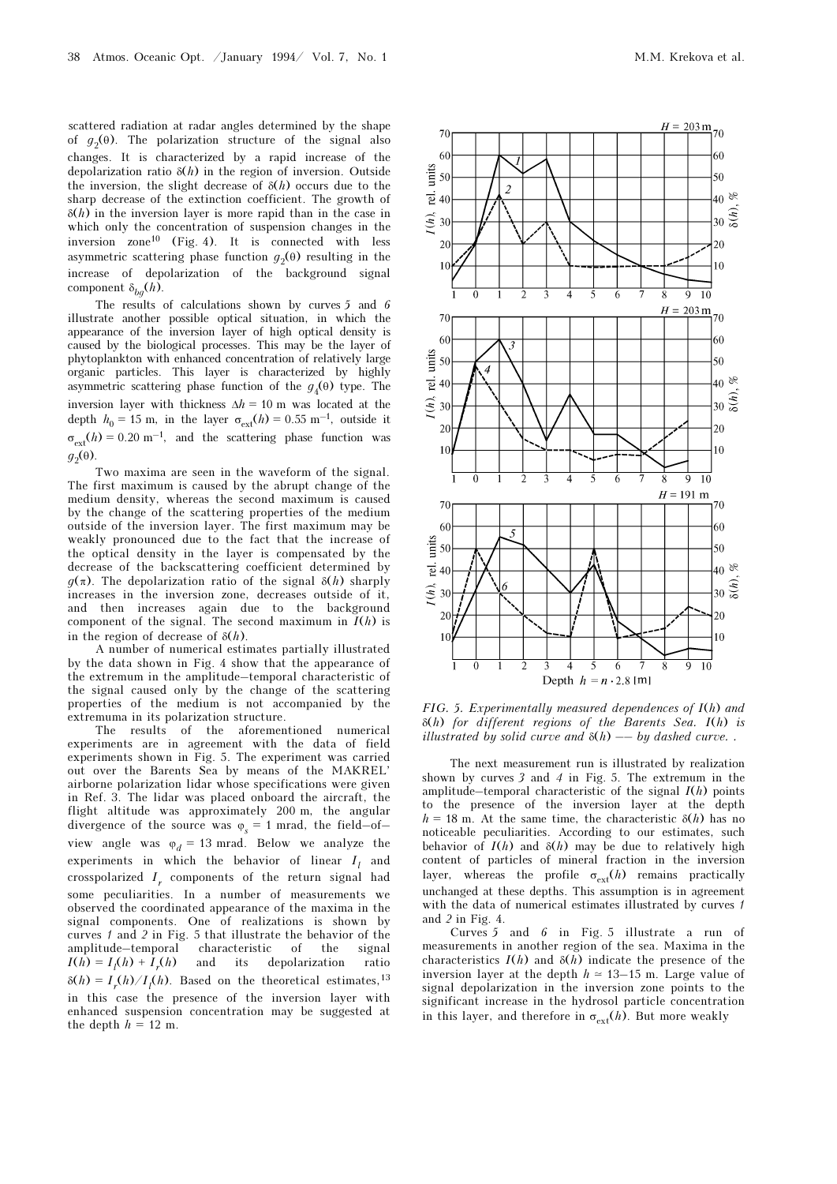scattered radiation at radar angles determined by the shape of  $g_2(\theta)$ . The polarization structure of the signal also changes. It is characterized by a rapid increase of the depolarization ratio  $\delta(h)$  in the region of inversion. Outside the inversion, the slight decrease of  $\delta(h)$  occurs due to the sharp decrease of the extinction coefficient. The growth of  $\delta(h)$  in the inversion layer is more rapid than in the case in which only the concentration of suspension changes in the inversion zone10 (Fig. 4). It is connected with less asymmetric scattering phase function  $g_2(\theta)$  resulting in the increase of depolarization of the background signal component  $\delta_{ba}(h)$ .

The results of calculations shown by curves 5 and 6 illustrate another possible optical situation, in which the appearance of the inversion layer of high optical density is caused by the biological processes. This may be the layer of phytoplankton with enhanced concentration of relatively large organic particles. This layer is characterized by highly asymmetric scattering phase function of the  $g_4(\theta)$  type. The inversion layer with thickness  $\Delta h = 10$  m was located at the depth  $h_0 = 15$  m, in the layer  $\sigma_{ext}(h) = 0.55$  m<sup>-1</sup>, outside it  $\sigma_{ext}(h) = 0.20 \text{ m}^{-1}$ , and the scattering phase function was  $g_2(\theta)$ .

Two maxima are seen in the waveform of the signal. The first maximum is caused by the abrupt change of the medium density, whereas the second maximum is caused by the change of the scattering properties of the medium outside of the inversion layer. The first maximum may be weakly pronounced due to the fact that the increase of the optical density in the layer is compensated by the decrease of the backscattering coefficient determined by  $g(\pi)$ . The depolarization ratio of the signal  $\delta(h)$  sharply increases in the inversion zone, decreases outside of it, and then increases again due to the background component of the signal. The second maximum in  $\overline{I}(h)$  is in the region of decrease of  $\delta(h)$ .

A number of numerical estimates partially illustrated by the data shown in Fig. 4 show that the appearance of the extremum in the amplitude–temporal characteristic of the signal caused only by the change of the scattering properties of the medium is not accompanied by the extremuma in its polarization structure.

The results of the aforementioned numerical experiments are in agreement with the data of field experiments shown in Fig. 5. The experiment was carried out over the Barents Sea by means of the MAKREL' airborne polarization lidar whose specifications were given in Ref. 3. The lidar was placed onboard the aircraft, the flight altitude was approximately 200 m, the angular divergence of the source was  $\varphi_s = 1$  mrad, the field–of– view angle was  $\varphi_d = 13$  mrad. Below we analyze the experiments in which the behavior of linear  $I_l$  and crosspolarized  $I_r$  components of the return signal had some peculiarities. In a number of measurements we observed the coordinated appearance of the maxima in the signal components. One of realizations is shown by curves 1 and 2 in Fig. 5 that illustrate the behavior of the amplitude–temporal characteristic of the signal  $I(h) = I_l(h) + I_r$ and its depolarization ratio  $\delta(h) = I_r(h)/I_l(h)$ . Based on the theoretical estimates,<sup>13</sup> in this case the presence of the inversion layer with enhanced suspension concentration may be suggested at the depth  $h = 12$  m.



FIG. 5. Experimentally measured dependences of  $I(h)$  and δ(h) for different regions of the Barents Sea. I(h) is illustrated by solid curve and  $\delta(h)$  -- by dashed curve..

The next measurement run is illustrated by realization shown by curves 3 and 4 in Fig. 5. The extremum in the amplitude–temporal characteristic of the signal  $I(h)$  points to the presence of the inversion layer at the depth  $h = 18$  m. At the same time, the characteristic  $\delta(h)$  has no noticeable peculiarities. According to our estimates, such behavior of  $I(h)$  and  $\delta(h)$  may be due to relatively high content of particles of mineral fraction in the inversion layer, whereas the profile  $\sigma_{\text{ext}}(h)$  remains practically unchanged at these depths. This assumption is in agreement with the data of numerical estimates illustrated by curves 1 and 2 in Fig. 4.

Curves 5 and 6 in Fig. 5 illustrate a run of measurements in another region of the sea. Maxima in the characteristics  $I(h)$  and  $\delta(h)$  indicate the presence of the inversion layer at the depth  $h \approx 13-15$  m. Large value of signal depolarization in the inversion zone points to the significant increase in the hydrosol particle concentration in this layer, and therefore in  $\sigma_{\text{ext}}(h)$ . But more weakly